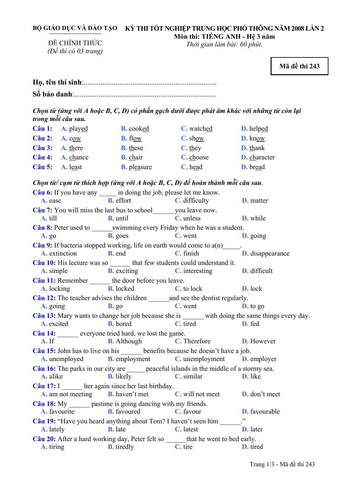| BỘ GIÁO DỤC VÀ ĐÀO TẠO KỪ THI TỐT NGHIÊP TRUNG HỌC PHỔ THÔNG NĂM 2008 LẦN 2 |
|-----------------------------------------------------------------------------|
| Môn thi: TIÊNG ANH - Hệ 3 năm                                               |

ĐỀ CHÍNH THỨC *(Đề thi có 03 trang)* 

*Thời gian làm bài: 60 phút.* 

**Mã đề thi 243** 

**Họ, tên thí sinh**:.......................................................................... **Số báo danh**:.............................................................................

Chọn từ (ứng với A hoặc B, C, D) có phần gạch dưới được phát âm khác với những từ còn lại *trong mỗi câu sau.* 

|                          | $C\hat{a}u$ 1: A. played | <b>B.</b> cooked   | C. watched     | <b>D.</b> helped |
|--------------------------|--------------------------|--------------------|----------------|------------------|
| $C\hat{a}u$ 2: A. cow    |                          | <b>B.</b> flow     | C. show        | D. know          |
| $C\hat{a}$ u 3: A. there |                          | <b>B.</b> these    | <b>C.</b> they | <b>D.</b> thank  |
| Câu 4:                   | <b>A.</b> chance         | <b>B.</b> chair    | C. choose      | D. character     |
| $C\hat{a}$ u 5: A. least |                          | <b>B.</b> pleasure | C. head        | <b>D.</b> bread  |

*Chọn từ/ cụm từ thích hợp (ứng với A hoặc B, C, D) để hoàn thành mỗi câu sau*.

| Câu 6: If you have any ______ in doing the job, please let me know.                                                                                       |                                                                                             |                                |                 |  |
|-----------------------------------------------------------------------------------------------------------------------------------------------------------|---------------------------------------------------------------------------------------------|--------------------------------|-----------------|--|
|                                                                                                                                                           | <b>A.</b> ease <b>B.</b> effort <b>C.</b> difficulty <b>D.</b> matter                       |                                |                 |  |
| Câu 7: You will miss the last bus to school________ you leave now.                                                                                        |                                                                                             |                                |                 |  |
| A. till                                                                                                                                                   | <b>B.</b> until <b>C.</b> unless <b>D.</b> while                                            |                                |                 |  |
| Câu 8: Peter used to _______ swimming every Friday when he was a student.                                                                                 |                                                                                             |                                |                 |  |
| <b>A.</b> go                                                                                                                                              | <b>B.</b> goes <b>C.</b> went <b>D.</b> going                                               |                                |                 |  |
|                                                                                                                                                           |                                                                                             |                                |                 |  |
| <b>Câu 9:</b> If bacteria stopped working, life on earth would come to $a(n)$ <b>D.</b> disappearance <b>A.</b> extinction <b>B.</b> end <b>C.</b> finish |                                                                                             |                                |                 |  |
| Câu 10: His lecture was so _______ that few students could understand it.                                                                                 |                                                                                             |                                |                 |  |
|                                                                                                                                                           | A. simple <b>B.</b> exciting <b>C.</b> interesting <b>D.</b> difficult                      |                                |                 |  |
| Câu 11: Remember _______ the door before you leave.                                                                                                       |                                                                                             |                                |                 |  |
|                                                                                                                                                           | <b>A.</b> locking <b>B.</b> locked <b>C.</b> to lock <b>D.</b> lock                         |                                |                 |  |
| Câu 12: The teacher advises the children _______ and see the dentist regularly.                                                                           |                                                                                             |                                |                 |  |
| <b>A.</b> going <b>B.</b> go                                                                                                                              |                                                                                             | <b>C.</b> went <b>D.</b> to go |                 |  |
| Câu 13: Mary wants to change her job because she is ______ with doing the same things every day.                                                          |                                                                                             |                                |                 |  |
|                                                                                                                                                           | A. excited B. bored C. tired D. fed                                                         |                                |                 |  |
| Câu 14: everyone tried hard, we lost the game.                                                                                                            |                                                                                             |                                |                 |  |
| $A.$ If                                                                                                                                                   | <b>B.</b> Although <b>C.</b> Therefore <b>D.</b> However                                    |                                |                 |  |
| Câu 15: John has to live on his _______ benefits because he doesn't have a job.                                                                           |                                                                                             |                                |                 |  |
|                                                                                                                                                           | <b>A.</b> unemployed <b>B.</b> employment <b>C.</b> unemployment <b>D.</b> employer         |                                |                 |  |
|                                                                                                                                                           | Câu 16: The parks in our city are ______ peaceful islands in the middle of a stormy sea.    |                                |                 |  |
|                                                                                                                                                           | <b>A.</b> alike <b>B.</b> likely <b>C.</b> similar <b>D.</b> like                           |                                |                 |  |
| $C\hat{a}$ u 17: I her again since her last birthday.                                                                                                     |                                                                                             |                                |                 |  |
|                                                                                                                                                           | <b>A.</b> am not meeting <b>B.</b> haven't met <b>C.</b> will not meet <b>D.</b> don't meet |                                |                 |  |
| Câu 18: My _______ pastime is going dancing with my friends.                                                                                              |                                                                                             |                                |                 |  |
|                                                                                                                                                           | <b>A.</b> favourite <b>B.</b> favoured <b>C.</b> favour <b>D.</b> favourable                |                                |                 |  |
| Câu 19: "Have you heard anything about Tom? I haven't seen him ______."                                                                                   |                                                                                             |                                |                 |  |
| <b>A.</b> lately                                                                                                                                          | <b>B.</b> late <b>C.</b> latest                                                             | and the contract               | <b>D.</b> later |  |
| Câu 20: After a hard working day, Peter felt so _______ that he went to bed early.                                                                        |                                                                                             |                                |                 |  |
|                                                                                                                                                           | <b>A.</b> tiring <b>B.</b> tiredly <b>C.</b> tire <b>D.</b> tired                           |                                |                 |  |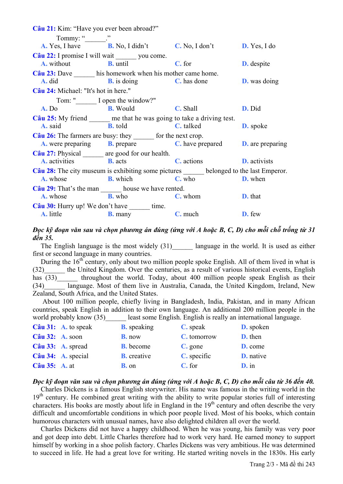|                                      | <b>Câu 21:</b> Kim: "Have you ever been abroad?"                                           |        |                     |
|--------------------------------------|--------------------------------------------------------------------------------------------|--------|---------------------|
| Tommy: " $\qquad$ ."                 |                                                                                            |        |                     |
|                                      | <b>A.</b> Yes, I have <b>B.</b> No, I didn't <b>C.</b> No, I don't <b>D.</b> Yes, I do     |        |                     |
|                                      | Câu 22: I promise I will wait _______ you come.                                            |        |                     |
|                                      | <b>A.</b> without <b>B.</b> until                                                          | C. for | <b>D.</b> despite   |
|                                      | Câu 23: Dave _______ his homework when his mother came home.                               |        |                     |
|                                      | <b>A.</b> did <b>B.</b> is doing <b>C.</b> has done                                        |        | <b>D.</b> was doing |
| Câu 24: Michael: "It's hot in here." |                                                                                            |        |                     |
|                                      | Tom: " I open the window?"                                                                 |        |                     |
|                                      | <b>A.</b> Do <b>B.</b> Would <b>C.</b> Shall                                               |        | D. Did              |
|                                      | Câu 25: My friend _______ me that he was going to take a driving test.                     |        |                     |
|                                      | <b>A.</b> said <b>B.</b> told <b>C.</b> talked                                             |        | <b>D.</b> spoke     |
|                                      | Câu 26: The farmers are busy: they _______ for the next crop.                              |        |                     |
|                                      | <b>A.</b> were preparing <b>B.</b> prepare <b>C.</b> have prepared <b>D.</b> are preparing |        |                     |
|                                      | Câu 27: Physical _______ are good for our health.                                          |        |                     |
|                                      | <b>A.</b> activities <b>B.</b> acts <b>C.</b> actions <b>D.</b> activists                  |        |                     |
|                                      | Câu 28: The city museum is exhibiting some pictures _____ belonged to the last Emperor.    |        |                     |
|                                      | <b>A.</b> whose <b>B.</b> which <b>C.</b> who <b>D.</b> when                               |        |                     |
|                                      | Câu 29: That's the man _______ house we have rented.                                       |        |                     |
|                                      | <b>A.</b> whose <b>B.</b> who <b>C.</b> whom <b>D.</b> that                                |        |                     |
|                                      | Câu 30: Hurry up! We don't have _______ time.                                              |        |                     |
| <b>A.</b> little                     | <b>B.</b> many <b>C.</b> much <b>D.</b> few                                                |        |                     |

## Đọc kỹ đoạn văn sau và chon phương án đúng (ứng với A hoặc B, C, D) cho mỗi chỗ trống từ 31 đến 35.

The English language is the most widely  $(31)$  language in the world. It is used as either first or second language in many countries.

During the  $16<sup>th</sup>$  century, only about two million people spoke English. All of them lived in what is the United Kingdom. Over the centuries, as a result of various historical events, English  $(32)$ throughout the world. Today, about 400 million people speak English as their has  $(33)$ language. Most of them live in Australia, Canada, the United Kingdom, Ireland, New  $(34)$ Zealand, South Africa, and the United States.

About 100 million people, chiefly living in Bangladesh, India, Pakistan, and in many African countries, speak English in addition to their own language. An additional 200 million people in the world probably know (35) least some English. English is really an international language.

|                      | $C\hat{a}$ u 31: A. to speak | <b>B.</b> speaking | C. speak    | <b>D.</b> spoken |
|----------------------|------------------------------|--------------------|-------------|------------------|
| Câu 32: A. soon      |                              | <b>B.</b> now      | C. tomorrow | D. then          |
|                      | Câu 33: A. spread            | <b>B.</b> become   | C. gone     | D. come          |
|                      | Câu 34: A. special           | <b>B.</b> creative | C. specific | <b>D.</b> native |
| <b>Câu 35: A. at</b> |                              | <b>B.</b> on       | C. for      | $D.$ in          |

## Đọc kỹ đoạn văn sau và chọn phương án đúng (ứng với A hoặc B, C, D) cho mỗi câu từ 36 đến 40.

Charles Dickens is a famous English storywriter. His name was famous in the writing world in the 19<sup>th</sup> century. He combined great writing with the ability to write popular stories full of interesting characters. His books are mostly about life in England in the  $19<sup>th</sup>$  century and often describe the very difficult and uncomfortable conditions in which poor people lived. Most of his books, which contain humorous characters with unusual names, have also delighted children all over the world.

Charles Dickens did not have a happy childhood. When he was young, his family was very poor and got deep into debt. Little Charles therefore had to work very hard. He earned money to support himself by working in a shoe polish factory. Charles Dickens was very ambitious. He was determined to succeed in life. He had a great love for writing. He started writing novels in the 1830s. His early